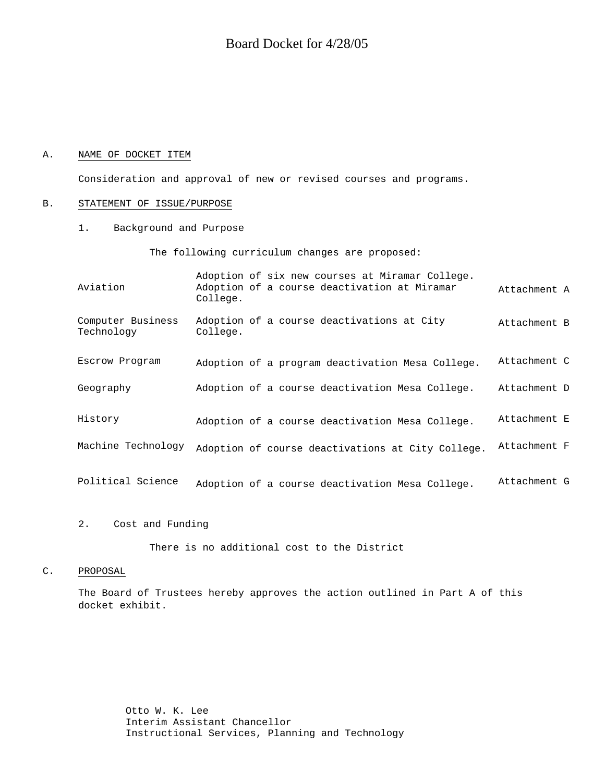#### A. NAME OF DOCKET ITEM

Consideration and approval of new or revised courses and programs.

#### B. STATEMENT OF ISSUE/PURPOSE

1. Background and Purpose

The following curriculum changes are proposed:

| Aviation                        | Adoption of six new courses at Miramar College.<br>Adoption of a course deactivation at Miramar<br>College. | Attachment A |
|---------------------------------|-------------------------------------------------------------------------------------------------------------|--------------|
| Computer Business<br>Technology | Adoption of a course deactivations at City<br>College.                                                      | Attachment B |
| Escrow Program                  | Adoption of a program deactivation Mesa College.                                                            | Attachment C |
| Geography                       | Adoption of a course deactivation Mesa College.                                                             | Attachment D |
| History                         | Adoption of a course deactivation Mesa College.                                                             | Attachment E |
| Machine Technology              | Adoption of course deactivations at City College.                                                           | Attachment F |
| Political Science               | Adoption of a course deactivation Mesa College.                                                             | Attachment G |

#### 2. Cost and Funding

There is no additional cost to the District

#### C. PROPOSAL

The Board of Trustees hereby approves the action outlined in Part A of this docket exhibit.

> Otto W. K. Lee Interim Assistant Chancellor Instructional Services, Planning and Technology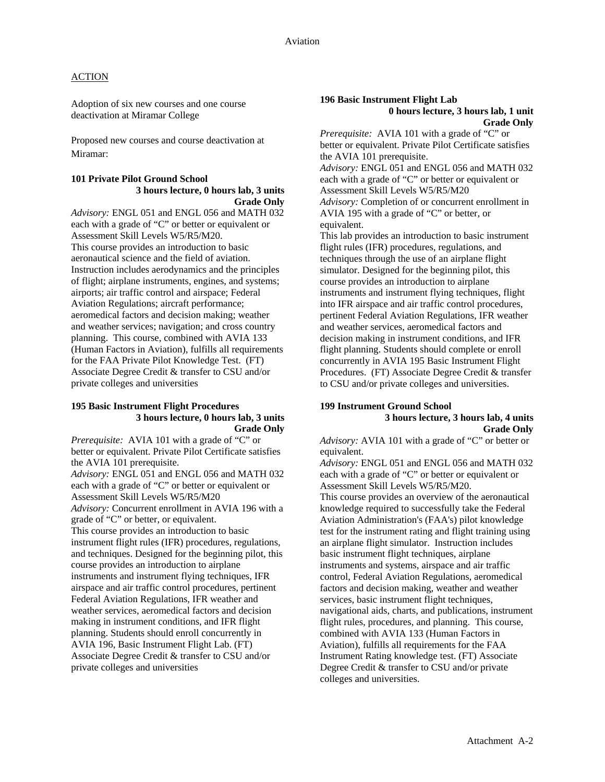Adoption of six new courses and one course deactivation at Miramar College

Proposed new courses and course deactivation at Miramar:

#### **101 Private Pilot Ground School 3 hours lecture, 0 hours lab, 3 units Grade Only**

*Advisory:* ENGL 051 and ENGL 056 and MATH 032 each with a grade of "C" or better or equivalent or Assessment Skill Levels W5/R5/M20. This course provides an introduction to basic aeronautical science and the field of aviation. Instruction includes aerodynamics and the principles of flight; airplane instruments, engines, and systems; airports; air traffic control and airspace; Federal Aviation Regulations; aircraft performance; aeromedical factors and decision making; weather and weather services; navigation; and cross country planning. This course, combined with AVIA 133 (Human Factors in Aviation), fulfills all requirements for the FAA Private Pilot Knowledge Test. (FT) Associate Degree Credit & transfer to CSU and/or private colleges and universities

#### **195 Basic Instrument Flight Procedures 3 hours lecture, 0 hours lab, 3 units Grade Only**

*Prerequisite:* AVIA 101 with a grade of "C" or better or equivalent. Private Pilot Certificate satisfies the AVIA 101 prerequisite.

*Advisory:* ENGL 051 and ENGL 056 and MATH 032 each with a grade of "C" or better or equivalent or Assessment Skill Levels W5/R5/M20 *Advisory:* Concurrent enrollment in AVIA 196 with a grade of "C" or better, or equivalent. This course provides an introduction to basic instrument flight rules (IFR) procedures, regulations, and techniques. Designed for the beginning pilot, this course provides an introduction to airplane instruments and instrument flying techniques, IFR airspace and air traffic control procedures, pertinent Federal Aviation Regulations, IFR weather and weather services, aeromedical factors and decision making in instrument conditions, and IFR flight planning. Students should enroll concurrently in AVIA 196, Basic Instrument Flight Lab. (FT) Associate Degree Credit & transfer to CSU and/or private colleges and universities

#### **196 Basic Instrument Flight Lab 0 hours lecture, 3 hours lab, 1 unit Grade Only**

*Prerequisite:* AVIA 101 with a grade of "C" or better or equivalent. Private Pilot Certificate satisfies the AVIA 101 prerequisite.

*Advisory:* ENGL 051 and ENGL 056 and MATH 032 each with a grade of "C" or better or equivalent or Assessment Skill Levels W5/R5/M20 *Advisory:* Completion of or concurrent enrollment in AVIA 195 with a grade of "C" or better, or equivalent.

This lab provides an introduction to basic instrument flight rules (IFR) procedures, regulations, and techniques through the use of an airplane flight simulator. Designed for the beginning pilot, this course provides an introduction to airplane instruments and instrument flying techniques, flight into IFR airspace and air traffic control procedures, pertinent Federal Aviation Regulations, IFR weather and weather services, aeromedical factors and decision making in instrument conditions, and IFR flight planning. Students should complete or enroll concurrently in AVIA 195 Basic Instrument Flight Procedures. (FT) Associate Degree Credit & transfer to CSU and/or private colleges and universities.

#### **199 Instrument Ground School 3 hours lecture, 3 hours lab, 4 units Grade Only**

*Advisory:* AVIA 101 with a grade of "C" or better or equivalent.

*Advisory:* ENGL 051 and ENGL 056 and MATH 032 each with a grade of "C" or better or equivalent or Assessment Skill Levels W5/R5/M20.

This course provides an overview of the aeronautical knowledge required to successfully take the Federal Aviation Administration's (FAA's) pilot knowledge test for the instrument rating and flight training using an airplane flight simulator. Instruction includes basic instrument flight techniques, airplane instruments and systems, airspace and air traffic control, Federal Aviation Regulations, aeromedical factors and decision making, weather and weather services, basic instrument flight techniques, navigational aids, charts, and publications, instrument flight rules, procedures, and planning. This course, combined with AVIA 133 (Human Factors in Aviation), fulfills all requirements for the FAA Instrument Rating knowledge test. (FT) Associate Degree Credit & transfer to CSU and/or private colleges and universities.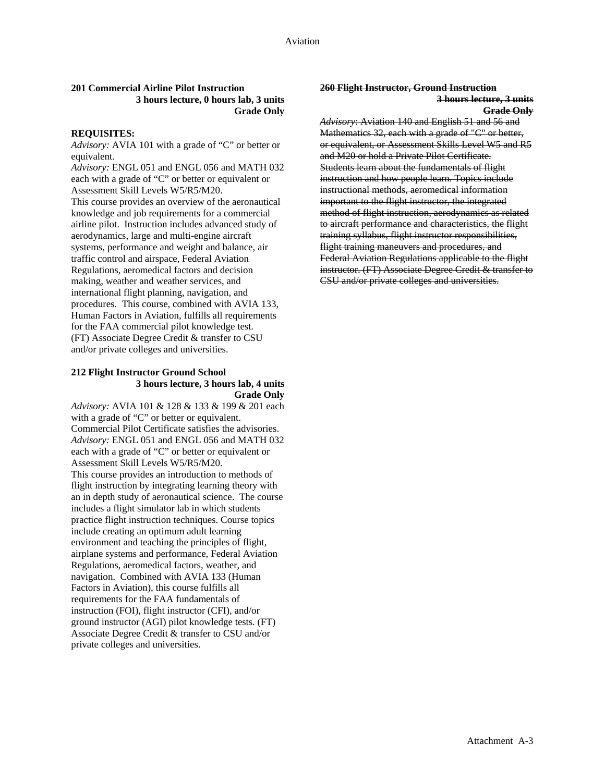#### **201 Commercial Airline Pilot Instruction 260 Flight Instructor, Ground Instruction 3 hours lecture, 0 hours lab, 3 units 3 hours lecture, 3 units** Grade Only **Grade Only**

#### **REQUISITES:**

*Advisory:* AVIA 101 with a grade of "C" or better or equivalent.

*Advisory:* ENGL 051 and ENGL 056 and MATH 032 each with a grade of "C" or better or equivalent or Assessment Skill Levels W5/R5/M20. This course provides an overview of the aeronautical knowledge and job requirements for a commercial airline pilot. Instruction includes advanced study of aerodynamics, large and multi-engine aircraft systems, performance and weight and balance, air traffic control and airspace, Federal Aviation Regulations, aeromedical factors and decision making, weather and weather services, and international flight planning, navigation, and procedures. This course, combined with AVIA 133, Human Factors in Aviation, fulfills all requirements for the FAA commercial pilot knowledge test. (FT) Associate Degree Credit & transfer to CSU and/or private colleges and universities.

#### **212 Flight Instructor Ground School 3 hours lecture, 3 hours lab, 4 units Grade Only**

*Advisory:* AVIA 101 & 128 & 133 & 199 & 201 each with a grade of "C" or better or equivalent. Commercial Pilot Certificate satisfies the advisories. *Advisory:* ENGL 051 and ENGL 056 and MATH 032 each with a grade of "C" or better or equivalent or Assessment Skill Levels W5/R5/M20. This course provides an introduction to methods of flight instruction by integrating learning theory with an in depth study of aeronautical science. The course includes a flight simulator lab in which students practice flight instruction techniques. Course topics include creating an optimum adult learning environment and teaching the principles of flight, airplane systems and performance, Federal Aviation Regulations, aeromedical factors, weather, and navigation. Combined with AVIA 133 (Human Factors in Aviation), this course fulfills all requirements for the FAA fundamentals of instruction (FOI), flight instructor (CFI), and/or ground instructor (AGI) pilot knowledge tests. (FT) Associate Degree Credit & transfer to CSU and/or private colleges and universities.

*Advisory*: Aviation 140 and English 51 and 56 and Mathematics 32, each with a grade of "C" or better, or equivalent, or Assessment Skills Level W5 and R5 and M20 or hold a Private Pilot Certificate. Students learn about the fundamentals of flight instruction and how people learn. Topics include instructional methods, aeromedical information important to the flight instructor, the integrated method of flight instruction, aerodynamics as related to aircraft performance and characteristics, the flight training syllabus, flight instructor responsibilities, flight training maneuvers and procedures, and Federal Aviation Regulations applicable to the flight instructor. (FT) Associate Degree Credit & transfer to CSU and/or private colleges and universities.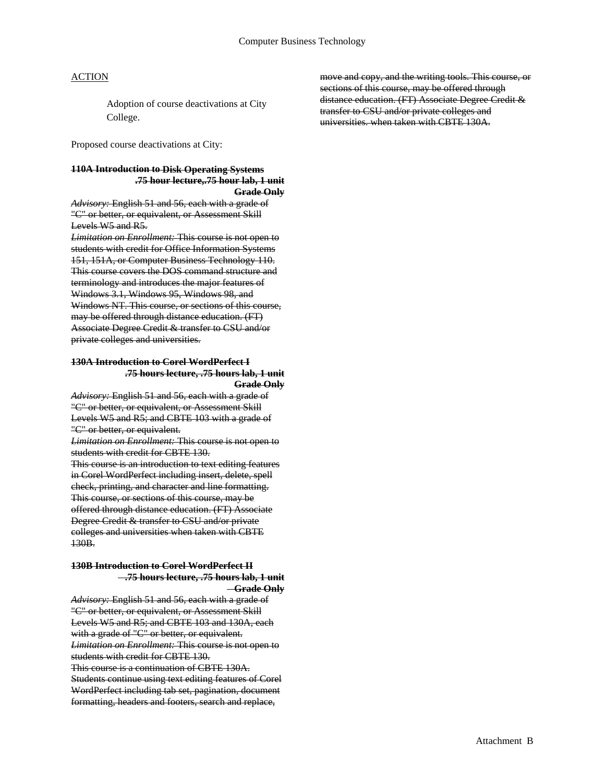Adoption of course deactivations at City College.

Proposed course deactivations at City:

### **110A Introduction to Disk Operating Systems .75 hour lecture,.75 hour lab, 1 unit**

**Grade Only**

*Advisory:* English 51 and 56, each with a grade of "C" or better, or equivalent, or Assessment Skill Levels W5 and R5.

*Limitation on Enrollment:* This course is not open to students with credit for Office Information Systems 151, 151A, or Computer Business Technology 110. This course covers the DOS command structure and terminology and introduces the major features of Windows 3.1, Windows 95, Windows 98, and Windows NT. This course, or sections of this course, may be offered through distance education. (FT) Associate Degree Credit & transfer to CSU and/or private colleges and universities.

#### **130A Introduction to Corel WordPerfect I .75 hours lecture, .75 hours lab, 1 unit Grade Only**

*Advisory:* English 51 and 56, each with a grade of "C" or better, or equivalent, or Assessment Skill Levels W5 and R5; and CBTE 103 with a grade of "C" or better, or equivalent.

*Limitation on Enrollment:* This course is not open to students with credit for CBTE 130.

This course is an introduction to text editing features in Corel WordPerfect including insert, delete, spell check, printing, and character and line formatting. This course, or sections of this course, may be offered through distance education. (FT) Associate Degree Credit & transfer to CSU and/or private colleges and universities when taken with CBTE 130B.

## **130B Introduction to Corel WordPerfect II .75 hours lecture, .75 hours lab, 1 unit**

**Grade Only**

*Advisory:* English 51 and 56, each with a grade of "C" or better, or equivalent, or Assessment Skill Levels W5 and R5; and CBTE 103 and 130A, each with a grade of "C" or better, or equivalent. *Limitation on Enrollment:* This course is not open to students with credit for CBTE 130.

This course is a continuation of CBTE 130A.

Students continue using text editing features of Corel WordPerfect including tab set, pagination, document formatting, headers and footers, search and replace,

move and copy, and the writing tools. This course, or sections of this course, may be offered through distance education. (FT) Associate Degree Credit & transfer to CSU and/or private colleges and universities. when taken with CBTE 130A.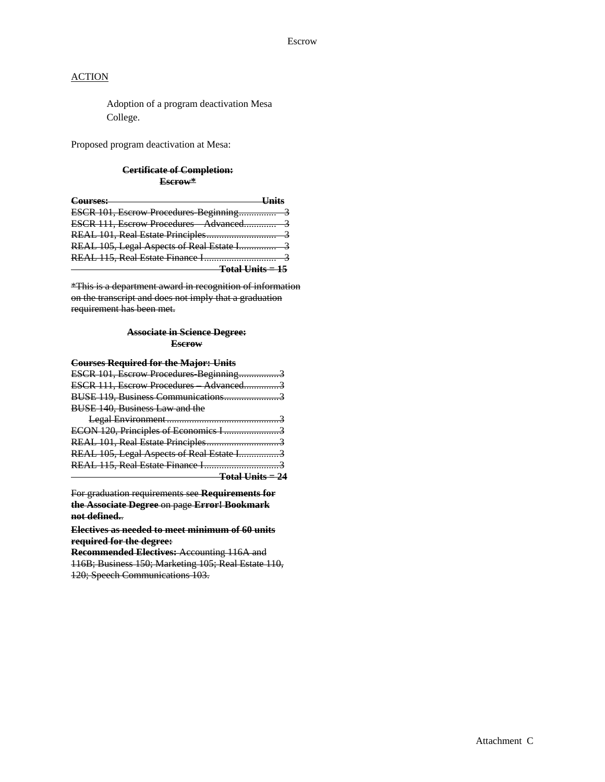Adoption of a program deactivation Mesa College.

Proposed program deactivation at Mesa:

#### **Certificate of Completion: Escrow\***

| Courses:                                 |  |
|------------------------------------------|--|
| ESCR 101, Escrow Procedures Beginning    |  |
|                                          |  |
|                                          |  |
| REAL 105, Legal Aspects of Real Estate I |  |
|                                          |  |
| <del>Total Units = 15</del>              |  |

\*This is a department award in recognition of information on the transcript and does not imply that a graduation requirement has been met.

#### **Associate in Science Degree: Escrow**

## **Courses Required for the Major: Units**

| ESCR 101, Escrow Procedures Beginning3    |
|-------------------------------------------|
| ESCR 111, Escrow Procedures Advanced3     |
|                                           |
|                                           |
|                                           |
| ECON 120, Principles of Economics I 3     |
| REAL 101, Real Estate Principles3         |
| REAL 105, Legal Aspects of Real Estate I3 |
|                                           |
| <del>Total Units = 24</del>               |
|                                           |

For graduation requirements see **Requirements for the Associate Degree** on page **Error! Bookmark not defined.**.

**Electives as needed to meet minimum of 60 units required for the degree:**

**Recommended Electives:** Accounting 116A and 116B; Business 150; Marketing 105; Real Estate 110, 120; Speech Communications 103.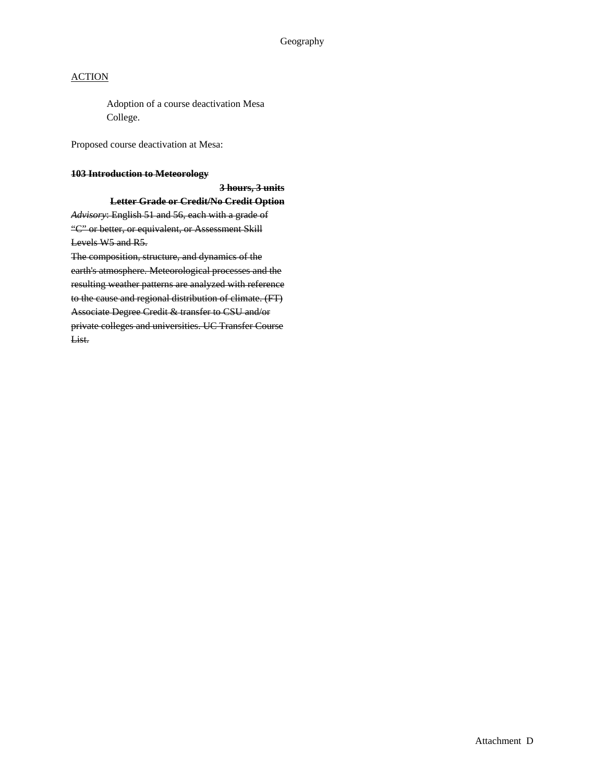#### Geography

#### **ACTION**

Adoption of a course deactivation Mesa College.

Proposed course deactivation at Mesa:

#### **103 Introduction to Meteorology**

**3 hours, 3 units Letter Grade or Credit/No Credit Option**

*Advisory*: English 51 and 56, each with a grade of "C" or better, or equivalent, or Assessment Skill Levels W5 and R5.

The composition, structure, and dynamics of the earth's atmosphere. Meteorological processes and the resulting weather patterns are analyzed with reference to the cause and regional distribution of climate. (FT) Associate Degree Credit & transfer to CSU and/or private colleges and universities. UC Transfer Course List.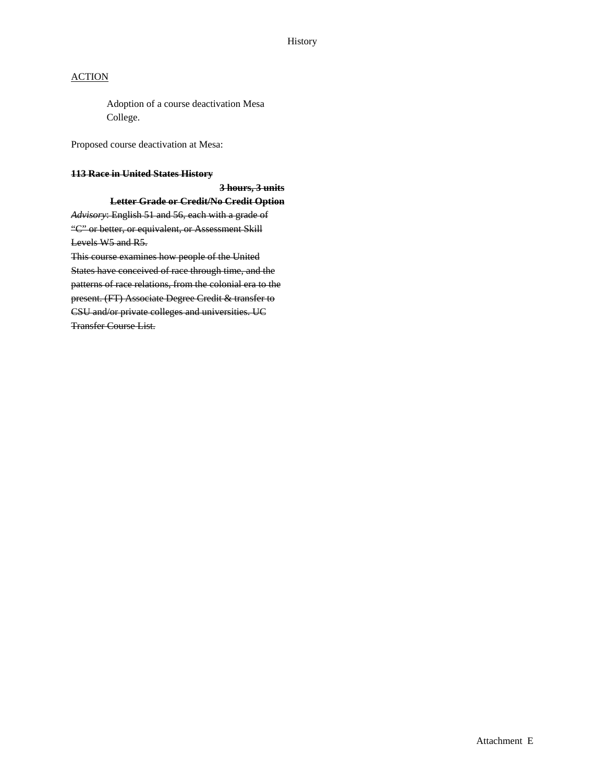#### History

#### **ACTION**

Adoption of a course deactivation Mesa College.

Proposed course deactivation at Mesa:

#### **113 Race in United States History**

**3 hours, 3 units Letter Grade or Credit/No Credit Option** *Advisory*: English 51 and 56, each with a grade of

"C" or better, or equivalent, or Assessment Skill Levels W5 and R5.

This course examines how people of the United States have conceived of race through time, and the patterns of race relations, from the colonial era to the present. (FT) Associate Degree Credit & transfer to CSU and/or private colleges and universities. UC Transfer Course List.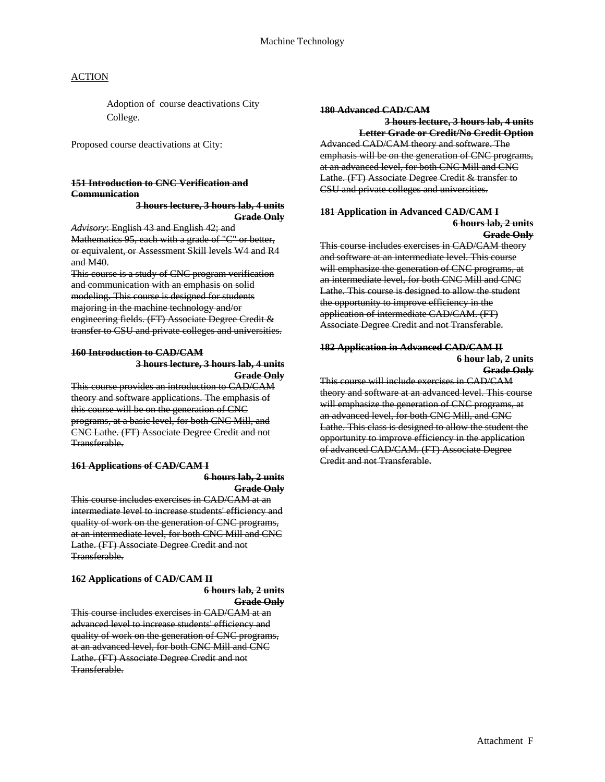Adoption of course deactivations City College.

Proposed course deactivations at City:

#### **151 Introduction to CNC Verification and Communication**

Mathematics 95, each with a grade of "C" or better, or equivalent, or Assessment Skill levels W4 and R4 and M40.

This course is a study of CNC program verification and communication with an emphasis on solid modeling. This course is designed for students majoring in the machine technology and/or engineering fields. (FT) Associate Degree Credit & transfer to CSU and private colleges and universities.

# 160 Introduction to CAD/CAM<br>3 hours lecture, 3 hours lab, 4 units<br>3 dours lecture, 3 hours lab, 4 units<br>Grade Only<br>This course will include exercises in CAD/CAM

This course provides an introduction to CAD/CAM theory and software applications. The emphasis of this course will be on the generation of CNC programs, at a basic level, for both CNC Mill, and CNC Lathe. (FT) Associate Degree Credit and not Transferable.

# **161 Applications of CAD/CAM I**

**6 hours lab, 2 units Grade Only**

This course includes exercises in CAD/CAM at an intermediate level to increase students' efficiency and quality of work on the generation of CNC programs, at an intermediate level, for both CNC Mill and CNC Lathe. (FT) Associate Degree Credit and not Transferable.

#### **162 Applications of CAD/CAM II**

**6 hours lab, 2 units**

**Grade Only**

This course includes exercises in CAD/CAM at an advanced level to increase students' efficiency and quality of work on the generation of CNC programs, at an advanced level, for both CNC Mill and CNC Lathe. (FT) Associate Degree Credit and not Transferable.

#### **180 Advanced CAD/CAM**

**3 hours lecture, 3 hours lab, 4 units Letter Grade or Credit/No Credit Option** Advanced CAD/CAM theory and software. The emphasis will be on the generation of CNC programs, at an advanced level, for both CNC Mill and CNC Lathe. (FT) Associate Degree Credit & transfer to CSU and private colleges and universities.

## **3 hours lecture, 3 hours lab, 4 units 181 Application in Advanced CAD/CAM I Grade Only 6 hours lab, 2 units** *Advisory*: English 43 and English 42; and **Grade Only**

This course includes exercises in CAD/CAM theory and software at an intermediate level. This course will emphasize the generation of CNC programs, at an intermediate level, for both CNC Mill and CNC Lathe. This course is designed to allow the student the opportunity to improve efficiency in the application of intermediate CAD/CAM. (FT) Associate Degree Credit and not Transferable.

theory and software at an advanced level. This course will emphasize the generation of CNC programs, at an advanced level, for both CNC Mill, and CNC Lathe. This class is designed to allow the student the opportunity to improve efficiency in the application of advanced CAD/CAM. (FT) Associate Degree Credit and not Transferable.